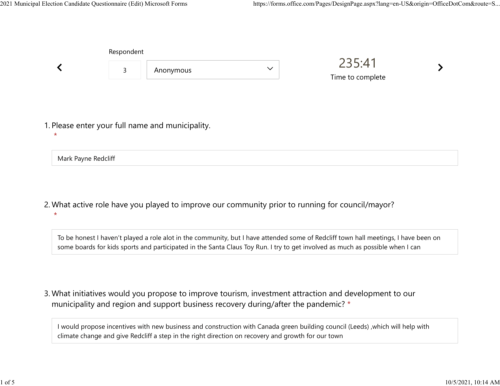|                                                  | Respondent |           |              |                            |  |
|--------------------------------------------------|------------|-----------|--------------|----------------------------|--|
|                                                  | 3          | Anonymous | $\checkmark$ | 235:41<br>Time to complete |  |
|                                                  |            |           |              |                            |  |
|                                                  |            |           |              |                            |  |
| 1. Please enter your full name and municipality. |            |           |              |                            |  |

Mark Payne Redcliff

 $\star$ 

What active role have you played to improve our community prior to running for council/mayor? 2. \*

To be honest I haven't played a role alot in the community, but I have attended some of Redcliff town hall meetings, I have been on some boards for kids sports and participated in the Santa Claus Toy Run. I try to get involved as much as possible when I can

What initiatives would you propose to improve tourism, investment attraction and development to our 3. municipality and region and support business recovery during/after the pandemic? \*

I would propose incentives with new business and construction with Canada green building council (Leeds) ,which will help with climate change and give Redcliff a step in the right direction on recovery and growth for our town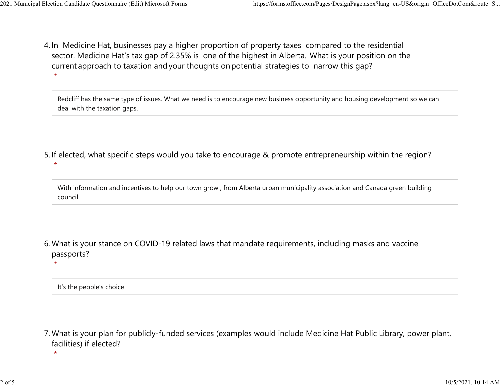4. In Medicine Hat, businesses pay a higher proportion of property taxes compared to the residential sector.  Medicine Hat's tax gap of 2.35% is one of the highest in Alberta.  What is your position on the current approach to taxation and your thoughts on potential strategies to narrow this gap?  $\star$ 2021 Municipal Election Candidate Questionnaire (Edit) Microsoft Forms https://forms.office.com/Pages/DesignPage.aspx?lang=en-US&origin=OfficeDotCom&route=S...<br>A In Medicine Hat businesses nav a bigher proportion of proper

> Redcliff has the same type of issues. What we need is to encourage new business opportunity and housing development so we can deal with the taxation gaps.

- 5. If elected, what specific steps would you take to encourage & promote entrepreneurship within the region?
	- With information and incentives to help our town grow , from Alberta urban municipality association and Canada green building council
- What is your stance on COVID-19 related laws that mandate requirements, including masks and vaccine 6. passports?

It's the people's choice

 $\star$ 

 $\star$ 

What is your plan for publicly-funded services (examples would include Medicine Hat Public Library, power plant, 7. facilities) if elected?

 $\star$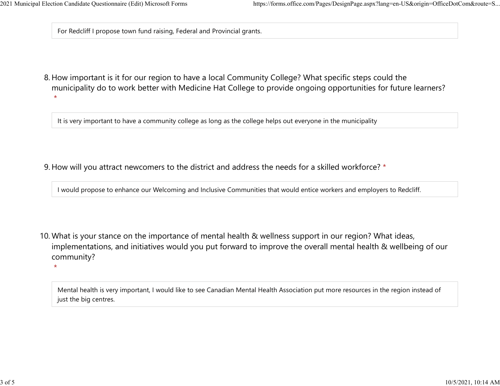$\star$ 

For Redcliff I propose town fund raising, Federal and Provincial grants.

8. How important is it for our region to have a local Community College? What specific steps could the municipality do to work better with Medicine Hat College to provide ongoing opportunities for future learners? \*

It is very important to have a community college as long as the college helps out everyone in the municipality

9. How will you attract newcomers to the district and address the needs for a skilled workforce? \*

I would propose to enhance our Welcoming and Inclusive Communities that would entice workers and employers to Redcliff.

10. What is your stance on the importance of mental health & wellness support in our region? What ideas, implementations, and initiatives would you put forward to improve the overall mental health & wellbeing of our community?

Mental health is very important, I would like to see Canadian Mental Health Association put more resources in the region instead of just the big centres.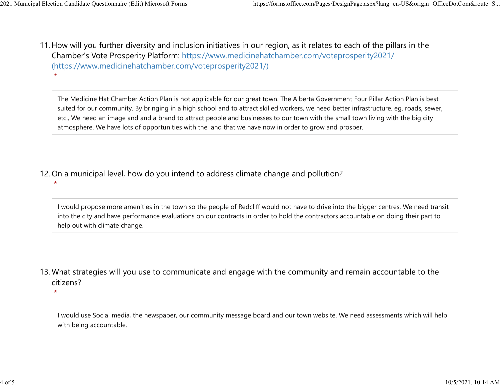\*

\*

11. How will you further diversity and inclusion initiatives in our region, as it relates to each of the pillars in the Chamber's Vote Prosperity Platform: https://www.medicinehatchamber.com/voteprosperity2021/ (https://www.medicinehatchamber.com/voteprosperity2021/) 2021 Municipal Election Candidate Questionnaire (Edit) Microsoft Forms https://forms.office.com/Pages/DesignPage.aspx?lang=en-US&origin=OfficeDotCom&route=S...<br>11 How will you further diversity and inclusion initiatives in

> The Medicine Hat Chamber Action Plan is not applicable for our great town. The Alberta Government Four Pillar Action Plan is best suited for our community. By bringing in a high school and to attract skilled workers, we need better infrastructure. eg. roads, sewer, etc., We need an image and and a brand to attract people and businesses to our town with the small town living with the big city atmosphere. We have lots of opportunities with the land that we have now in order to grow and prosper.

12. On a municipal level, how do you intend to address climate change and pollution?

- I would propose more amenities in the town so the people of Redcliff would not have to drive into the bigger centres. We need transit into the city and have performance evaluations on our contracts in order to hold the contractors accountable on doing their part to help out with climate change.
- 13. What strategies will you use to communicate and engage with the community and remain accountable to the citizens?

\*

I would use Social media, the newspaper, our community message board and our town website. We need assessments which will help with being accountable.